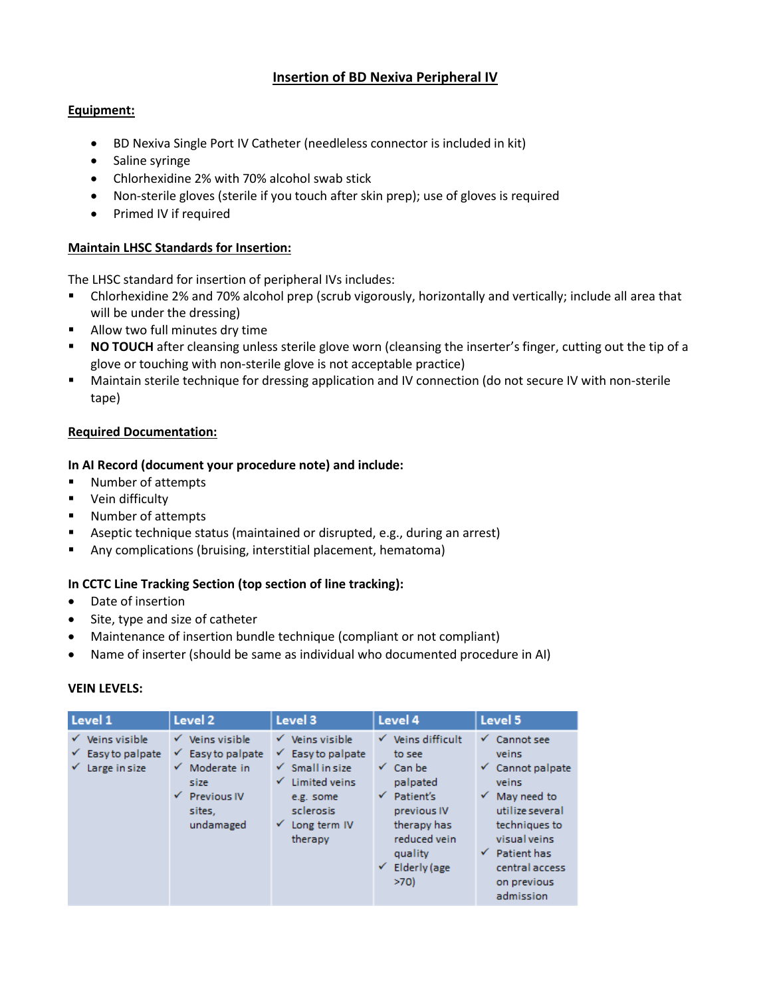# **Insertion of BD Nexiva Peripheral IV**

# **Equipment:**

- BD Nexiva Single Port IV Catheter (needleless connector is included in kit)
- Saline syringe
- Chlorhexidine 2% with 70% alcohol swab stick
- Non-sterile gloves (sterile if you touch after skin prep); use of gloves is required
- Primed IV if required

#### **Maintain LHSC Standards for Insertion:**

The LHSC standard for insertion of peripheral IVs includes:

- Chlorhexidine 2% and 70% alcohol prep (scrub vigorously, horizontally and vertically; include all area that will be under the dressing)
- **Allow two full minutes dry time**
- **NO TOUCH** after cleansing unless sterile glove worn (cleansing the inserter's finger, cutting out the tip of a glove or touching with non-sterile glove is not acceptable practice)
- Maintain sterile technique for dressing application and IV connection (do not secure IV with non-sterile tape)

#### **Required Documentation:**

## **In AI Record (document your procedure note) and include:**

- Number of attempts
- **•** Vein difficulty
- **Number of attempts**
- **Aseptic technique status (maintained or disrupted, e.g., during an arrest)**
- Any complications (bruising, interstitial placement, hematoma)

## **In CCTC Line Tracking Section (top section of line tracking):**

- Date of insertion
- Site, type and size of catheter
- Maintenance of insertion bundle technique (compliant or not compliant)
- Name of inserter (should be same as individual who documented procedure in AI)

## **VEIN LEVELS:**

| Level 1                                                           | Level 2                                                                                                                      | Level 3                                                                                                                                                             | Level 4                                                                                                                                                                                  | Level 5                                                                                                                                                                                                                       |
|-------------------------------------------------------------------|------------------------------------------------------------------------------------------------------------------------------|---------------------------------------------------------------------------------------------------------------------------------------------------------------------|------------------------------------------------------------------------------------------------------------------------------------------------------------------------------------------|-------------------------------------------------------------------------------------------------------------------------------------------------------------------------------------------------------------------------------|
| Veins visible<br>✓<br>Easy to palpate<br>v.<br>Large in size<br>✓ | $\checkmark$ Veins visible<br>Easy to palpate<br>v.<br>Moderate in<br>✓<br>size<br><b>Previous IV</b><br>sites.<br>undamaged | $\checkmark$ Veins visible<br>$\checkmark$ Easy to palpate<br>$\checkmark$ Small in size<br>Limited veins<br>e.g. some<br>sclerosis<br>Long term IV<br>✓<br>therapy | $\checkmark$ Veins difficult<br>to see<br>$\checkmark$ Can be<br>palpated<br>Patient's<br>✓<br>previous IV<br>therapy has<br>reduced vein<br>quality<br>$\checkmark$ Elderly (age<br>>70 | $\checkmark$ Cannot see<br>veins<br>$\checkmark$ Cannot palpate<br>veins<br>May need to<br>$\checkmark$<br>utilize several<br>techniques to<br>visual veins<br>Patient has<br>✓<br>central access<br>on previous<br>admission |